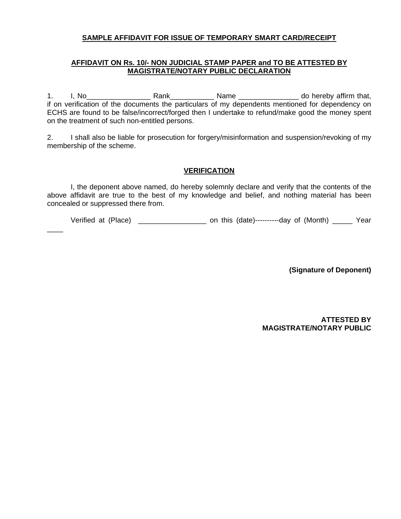#### **SAMPLE AFFIDAVIT FOR ISSUE OF TEMPORARY SMART CARD/RECEIPT**

#### **AFFIDAVIT ON Rs. 10/- NON JUDICIAL STAMP PAPER and TO BE ATTESTED BY MAGISTRATE/NOTARY PUBLIC DECLARATION**

1. I, No\_\_\_\_\_\_\_\_\_\_\_\_\_\_\_\_ Rank\_\_\_\_\_\_\_\_\_\_\_ Name \_\_\_\_\_\_\_\_\_\_\_\_\_\_\_ do hereby affirm that, if on verification of the documents the particulars of my dependents mentioned for dependency on ECHS are found to be false/incorrect/forged then I undertake to refund/make good the money spent on the treatment of such non-entitled persons.

2. I shall also be liable for prosecution for forgery/misinformation and suspension/revoking of my membership of the scheme.

#### **VERIFICATION**

I, the deponent above named, do hereby solemnly declare and verify that the contents of the above affidavit are true to the best of my knowledge and belief, and nothing material has been concealed or suppressed there from.

Verified at (Place) and this (date)-----------day of (Month) Year

 $\overline{\phantom{a}}$ 

**(Signature of Deponent)** 

**ATTESTED BY MAGISTRATE/NOTARY PUBLIC**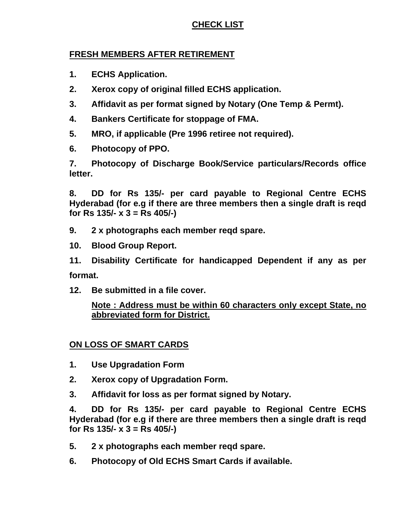# **CHECK LIST**

#### **FRESH MEMBERS AFTER RETIREMENT**

- **1. ECHS Application.**
- **2. Xerox copy of original filled ECHS application.**
- **3. Affidavit as per format signed by Notary (One Temp & Permt).**
- **4. Bankers Certificate for stoppage of FMA.**
- **5. MRO, if applicable (Pre 1996 retiree not required).**
- **6. Photocopy of PPO.**

**7. Photocopy of Discharge Book/Service particulars/Records office letter.** 

**8. DD for Rs 135/- per card payable to Regional Centre ECHS Hyderabad (for e.g if there are three members then a single draft is reqd for Rs 135/- x 3 = Rs 405/-)** 

- **9. 2 x photographs each member reqd spare.**
- **10. Blood Group Report.**
- **11. Disability Certificate for handicapped Dependent if any as per format.**
- **12. Be submitted in a file cover.**

### **Note : Address must be within 60 characters only except State, no abbreviated form for District.**

### **ON LOSS OF SMART CARDS**

- **1. Use Upgradation Form**
- **2. Xerox copy of Upgradation Form.**
- **3. Affidavit for loss as per format signed by Notary.**

**4. DD for Rs 135/- per card payable to Regional Centre ECHS Hyderabad (for e.g if there are three members then a single draft is reqd for Rs 135/- x 3 = Rs 405/-)** 

- **5. 2 x photographs each member reqd spare.**
- **6. Photocopy of Old ECHS Smart Cards if available.**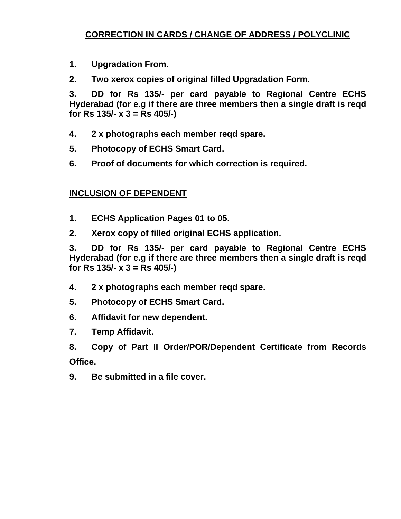# **CORRECTION IN CARDS / CHANGE OF ADDRESS / POLYCLINIC**

- **1. Upgradation From.**
- **2. Two xerox copies of original filled Upgradation Form.**

**3. DD for Rs 135/- per card payable to Regional Centre ECHS Hyderabad (for e.g if there are three members then a single draft is reqd for Rs 135/- x 3 = Rs 405/-)** 

- **4. 2 x photographs each member reqd spare.**
- **5. Photocopy of ECHS Smart Card.**
- **6. Proof of documents for which correction is required.**

## **INCLUSION OF DEPENDENT**

- **1. ECHS Application Pages 01 to 05.**
- **2. Xerox copy of filled original ECHS application.**

**3. DD for Rs 135/- per card payable to Regional Centre ECHS Hyderabad (for e.g if there are three members then a single draft is reqd for Rs 135/- x 3 = Rs 405/-)** 

- **4. 2 x photographs each member reqd spare.**
- **5. Photocopy of ECHS Smart Card.**
- **6. Affidavit for new dependent.**
- **7. Temp Affidavit.**

**8. Copy of Part II Order/POR/Dependent Certificate from Records Office.** 

**9. Be submitted in a file cover.**